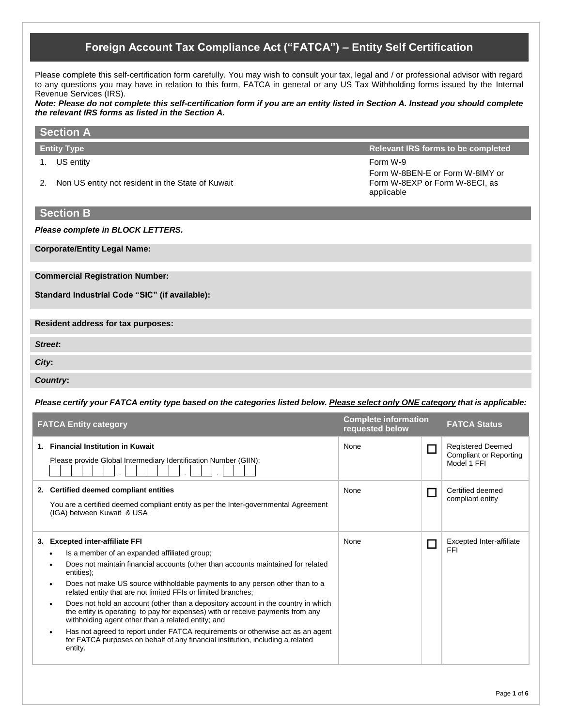# **Foreign Account Tax Compliance Act ("FATCA") – Entity Self Certification**

Please complete this self-certification form carefully. You may wish to consult your tax, legal and / or professional advisor with regard to any questions you may have in relation to this form, FATCA in general or any US Tax Withholding forms issued by the Internal Revenue Services (IRS).

*Note: Please do not complete this self-certification form if you are an entity listed in Section A. Instead you should complete the relevant IRS forms as listed in the Section A.* 

| <b>Section A</b>                                                           |                                                                                             |
|----------------------------------------------------------------------------|---------------------------------------------------------------------------------------------|
| <b>Entity Type</b>                                                         | <b>Relevant IRS forms to be completed</b>                                                   |
| US entity<br>1.<br>Non US entity not resident in the State of Kuwait<br>2. | Form W-9<br>Form W-8BEN-E or Form W-8IMY or<br>Form W-8EXP or Form W-8ECI, as<br>applicable |
| <b>Section B</b>                                                           |                                                                                             |
| Please complete in BLOCK LETTERS.                                          |                                                                                             |
| <b>Corporate/Entity Legal Name:</b>                                        |                                                                                             |
| <b>Commercial Registration Number:</b>                                     |                                                                                             |
| Standard Industrial Code "SIC" (if available):                             |                                                                                             |
| Resident address for tax purposes:                                         |                                                                                             |
| Street:                                                                    |                                                                                             |
| City:                                                                      |                                                                                             |
| <b>Country:</b>                                                            |                                                                                             |
|                                                                            |                                                                                             |

*Please certify your FATCA entity type based on the categories listed below. Please select only ONE category that is applicable:*

| <b>FATCA Entity category</b>                                                                                                                                                                                                                                                                                                                                                                                                                                                                                                                                                                                                                                                                                                                                                                             | <b>Complete information</b><br>requested below | <b>FATCA Status</b>                                               |
|----------------------------------------------------------------------------------------------------------------------------------------------------------------------------------------------------------------------------------------------------------------------------------------------------------------------------------------------------------------------------------------------------------------------------------------------------------------------------------------------------------------------------------------------------------------------------------------------------------------------------------------------------------------------------------------------------------------------------------------------------------------------------------------------------------|------------------------------------------------|-------------------------------------------------------------------|
| 1. Financial Institution in Kuwait<br>Please provide Global Intermediary Identification Number (GIIN):                                                                                                                                                                                                                                                                                                                                                                                                                                                                                                                                                                                                                                                                                                   | None                                           | <b>Registered Deemed</b><br>Compliant or Reporting<br>Model 1 FFI |
| 2. Certified deemed compliant entities<br>You are a certified deemed compliant entity as per the Inter-governmental Agreement<br>(IGA) between Kuwait & USA                                                                                                                                                                                                                                                                                                                                                                                                                                                                                                                                                                                                                                              | None                                           | Certified deemed<br>compliant entity                              |
| <b>Excepted inter-affiliate FFI</b><br>3.<br>Is a member of an expanded affiliated group;<br>$\bullet$<br>Does not maintain financial accounts (other than accounts maintained for related<br>٠<br>entities);<br>Does not make US source withholdable payments to any person other than to a<br>$\bullet$<br>related entity that are not limited FFIs or limited branches;<br>Does not hold an account (other than a depository account in the country in which<br>$\bullet$<br>the entity is operating to pay for expenses) with or receive payments from any<br>withholding agent other than a related entity; and<br>Has not agreed to report under FATCA requirements or otherwise act as an agent<br>٠<br>for FATCA purposes on behalf of any financial institution, including a related<br>entity. | None                                           | Excepted Inter-affiliate<br><b>FFI</b>                            |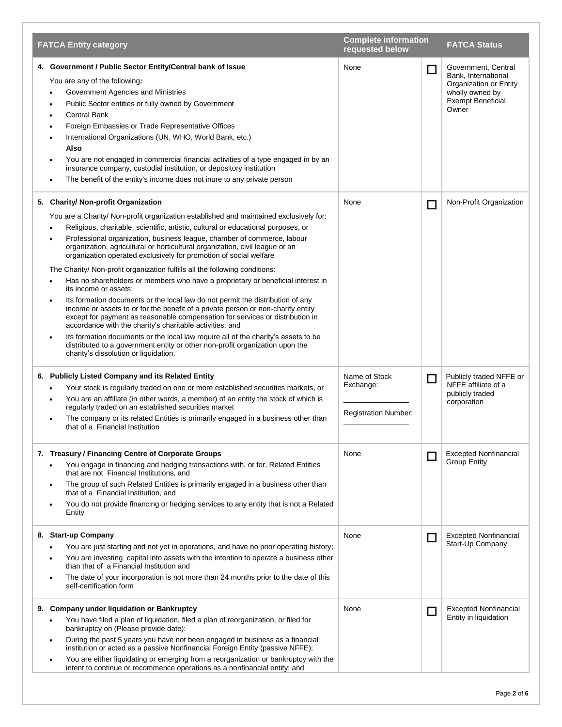| <b>FATCA Entity category</b>                                                                                                                                                                                                                                                                                                                                                                                                                                                                                                                                                                                                                                                                                                                                                                                                                                                                                                                                                                                                                                                                                                                                                    | <b>Complete information</b><br>requested below            |                | <b>FATCA Status</b>                                                                                                          |
|---------------------------------------------------------------------------------------------------------------------------------------------------------------------------------------------------------------------------------------------------------------------------------------------------------------------------------------------------------------------------------------------------------------------------------------------------------------------------------------------------------------------------------------------------------------------------------------------------------------------------------------------------------------------------------------------------------------------------------------------------------------------------------------------------------------------------------------------------------------------------------------------------------------------------------------------------------------------------------------------------------------------------------------------------------------------------------------------------------------------------------------------------------------------------------|-----------------------------------------------------------|----------------|------------------------------------------------------------------------------------------------------------------------------|
| 4. Government / Public Sector Entity/Central bank of Issue<br>You are any of the following:<br>Government Agencies and Ministries<br>Public Sector entities or fully owned by Government<br><b>Central Bank</b><br>Foreign Embassies or Trade Representative Offices<br>International Organizations (UN, WHO, World Bank, etc.)<br>Also<br>You are not engaged in commercial financial activities of a type engaged in by an<br>insurance company, custodial institution, or depository institution<br>The benefit of the entity's income does not inure to any private person                                                                                                                                                                                                                                                                                                                                                                                                                                                                                                                                                                                                  | None                                                      | $\Box$         | Government, Central<br>Bank, International<br>Organization or Entity<br>wholly owned by<br><b>Exempt Beneficial</b><br>Owner |
| 5. Charity/ Non-profit Organization<br>You are a Charity/ Non-profit organization established and maintained exclusively for:<br>Religious, charitable, scientific, artistic, cultural or educational purposes, or<br>Professional organization, business league, chamber of commerce, labour<br>organization, agricultural or horticultural organization, civil league or an<br>organization operated exclusively for promotion of social welfare<br>The Charity/ Non-profit organization fulfills all the following conditions:<br>Has no shareholders or members who have a proprietary or beneficial interest in<br>its income or assets:<br>Its formation documents or the local law do not permit the distribution of any<br>income or assets to or for the benefit of a private person or non-charity entity<br>except for payment as reasonable compensation for services or distribution in<br>accordance with the charity's charitable activities; and<br>Its formation documents or the local law require all of the charity's assets to be<br>distributed to a government entity or other non-profit organization upon the<br>charity's dissolution or liquidation. | None                                                      | □              | Non-Profit Organization                                                                                                      |
| 6. Publicly Listed Company and its Related Entity<br>Your stock is regularly traded on one or more established securities markets, or<br>You are an affiliate (in other words, a member) of an entity the stock of which is<br>regularly traded on an established securities market<br>The company or its related Entities is primarily engaged in a business other than<br>that of a Financial Institution                                                                                                                                                                                                                                                                                                                                                                                                                                                                                                                                                                                                                                                                                                                                                                     | Name of Stock<br>Exchange:<br><b>Registration Number:</b> | $\Box$         | Publicly traded NFFE or<br>NFFE affiliate of a<br>publicly traded<br>corporation                                             |
| 7. Treasury / Financing Centre of Corporate Groups<br>You engage in financing and hedging transactions with, or for, Related Entities<br>that are not Financial Institutions, and<br>The group of such Related Entities is primarily engaged in a business other than<br>$\bullet$<br>that of a Financial Institution, and<br>You do not provide financing or hedging services to any entity that is not a Related<br>$\bullet$<br>Entity                                                                                                                                                                                                                                                                                                                                                                                                                                                                                                                                                                                                                                                                                                                                       | None                                                      | $\blacksquare$ | <b>Excepted Nonfinancial</b><br><b>Group Entity</b>                                                                          |
| 8. Start-up Company<br>You are just starting and not yet in operations, and have no prior operating history;<br>You are investing capital into assets with the intention to operate a business other<br>$\bullet$<br>than that of a Financial Institution and<br>The date of your incorporation is not more than 24 months prior to the date of this<br>self-certification form                                                                                                                                                                                                                                                                                                                                                                                                                                                                                                                                                                                                                                                                                                                                                                                                 | None                                                      | П              | <b>Excepted Nonfinancial</b><br>Start-Up Company                                                                             |
| 9. Company under liquidation or Bankruptcy<br>You have filed a plan of liquidation, filed a plan of reorganization, or filed for<br>bankruptcy on (Please provide date):<br>During the past 5 years you have not been engaged in business as a financial<br>٠<br>institution or acted as a passive Nonfinancial Foreign Entity (passive NFFE);<br>You are either liquidating or emerging from a reorganization or bankruptcy with the<br>$\bullet$<br>intent to continue or recommence operations as a nonfinancial entity; and                                                                                                                                                                                                                                                                                                                                                                                                                                                                                                                                                                                                                                                 | None                                                      |                | <b>Excepted Nonfinancial</b><br>Entity in liquidation                                                                        |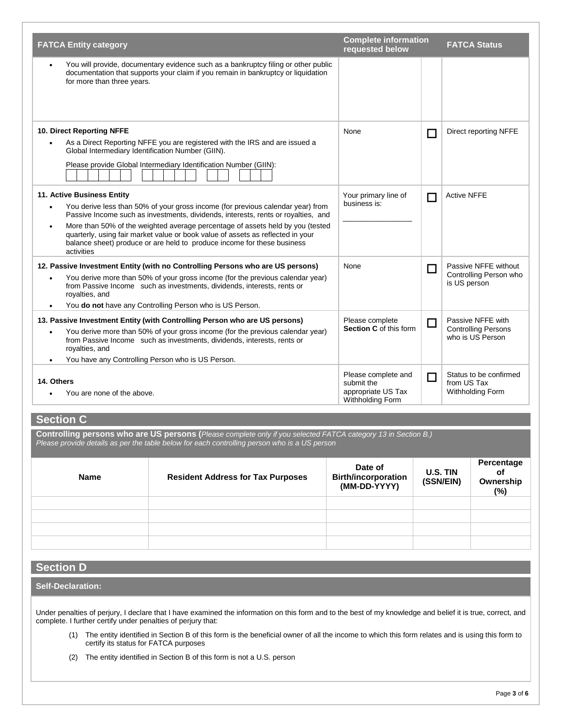| <b>FATCA Entity category</b>                                                                                                                                                                                                                                                                                                                                                                                                                                                               | <b>Complete information</b><br>requested below                              |        | <b>FATCA Status</b>                                            |
|--------------------------------------------------------------------------------------------------------------------------------------------------------------------------------------------------------------------------------------------------------------------------------------------------------------------------------------------------------------------------------------------------------------------------------------------------------------------------------------------|-----------------------------------------------------------------------------|--------|----------------------------------------------------------------|
| You will provide, documentary evidence such as a bankruptcy filing or other public<br>$\bullet$<br>documentation that supports your claim if you remain in bankruptcy or liquidation<br>for more than three years.                                                                                                                                                                                                                                                                         |                                                                             |        |                                                                |
| 10. Direct Reporting NFFE<br>As a Direct Reporting NFFE you are registered with the IRS and are issued a<br>Global Intermediary Identification Number (GIIN).<br>Please provide Global Intermediary Identification Number (GIIN):                                                                                                                                                                                                                                                          | None                                                                        | П      | Direct reporting NFFE                                          |
|                                                                                                                                                                                                                                                                                                                                                                                                                                                                                            |                                                                             |        |                                                                |
| 11. Active Business Entity<br>You derive less than 50% of your gross income (for previous calendar year) from<br>$\bullet$<br>Passive Income such as investments, dividends, interests, rents or royalties, and<br>More than 50% of the weighted average percentage of assets held by you (tested<br>$\bullet$<br>quarterly, using fair market value or book value of assets as reflected in your<br>balance sheet) produce or are held to produce income for these business<br>activities | Your primary line of<br>business is:                                        | П      | <b>Active NFFE</b>                                             |
| 12. Passive Investment Entity (with no Controlling Persons who are US persons)<br>You derive more than 50% of your gross income (for the previous calendar year)<br>$\bullet$<br>from Passive Income such as investments, dividends, interests, rents or<br>royalties, and<br>You do not have any Controlling Person who is US Person.                                                                                                                                                     | None                                                                        | □      | Passive NFFE without<br>Controlling Person who<br>is US person |
| 13. Passive Investment Entity (with Controlling Person who are US persons)                                                                                                                                                                                                                                                                                                                                                                                                                 | Please complete                                                             | $\Box$ | Passive NFFE with                                              |
| You derive more than 50% of your gross income (for the previous calendar year)<br>from Passive Income such as investments, dividends, interests, rents or<br>royalties, and                                                                                                                                                                                                                                                                                                                | <b>Section C</b> of this form                                               |        | <b>Controlling Persons</b><br>who is US Person                 |
| You have any Controlling Person who is US Person.                                                                                                                                                                                                                                                                                                                                                                                                                                          |                                                                             |        |                                                                |
| 14. Others<br>You are none of the above.                                                                                                                                                                                                                                                                                                                                                                                                                                                   | Please complete and<br>submit the<br>appropriate US Tax<br>Withholding Form | □      | Status to be confirmed<br>from US Tax<br>Withholding Form      |

### **Section C**

**Controlling persons who are US persons (***Please complete only if you selected FATCA category 13 in Section B.) Please provide details as per the table below for each controlling person who is a US person*

| <b>Name</b> | <b>Resident Address for Tax Purposes</b> | Date of<br><b>Birth/incorporation</b><br>(MM-DD-YYYY) | U.S. TIN<br>(SSN/EIN) | Percentage<br>of<br>Ownership<br>$(\%)$ |
|-------------|------------------------------------------|-------------------------------------------------------|-----------------------|-----------------------------------------|
|             |                                          |                                                       |                       |                                         |
|             |                                          |                                                       |                       |                                         |
|             |                                          |                                                       |                       |                                         |
|             |                                          |                                                       |                       |                                         |

# **Section D**

### **Self-Declaration:**

Under penalties of perjury, I declare that I have examined the information on this form and to the best of my knowledge and belief it is true, correct, and complete. I further certify under penalties of perjury that:

- (1) The entity identified in Section B of this form is the beneficial owner of all the income to which this form relates and is using this form to certify its status for FATCA purposes
- (2) The entity identified in Section B of this form is not a U.S. person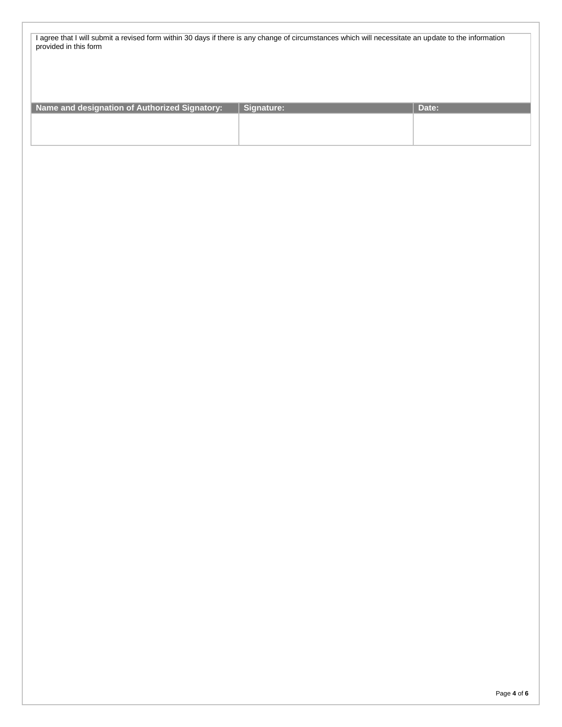| I agree that I will submit a revised form within 30 days if there is any change of circumstances which will necessitate an update to the information |  |
|------------------------------------------------------------------------------------------------------------------------------------------------------|--|
| provided in this form                                                                                                                                |  |

| Name and designation of Authorized Signatory: | Signature: | Date: |
|-----------------------------------------------|------------|-------|
|                                               |            |       |
|                                               |            |       |
|                                               |            |       |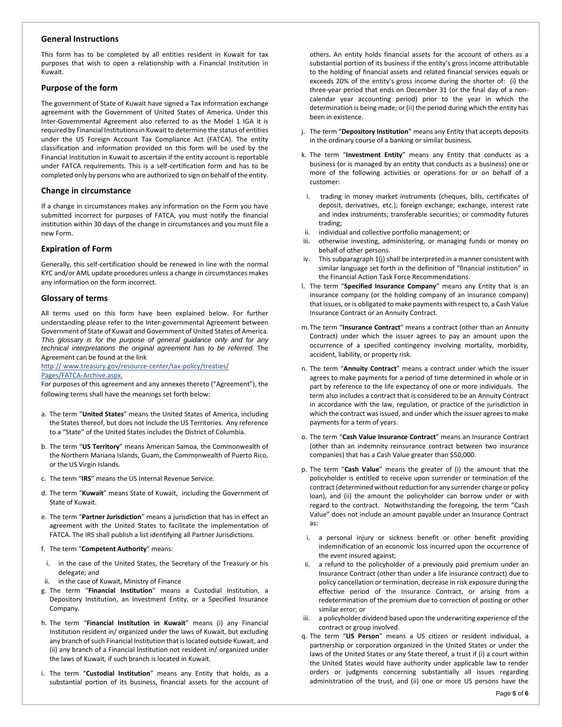#### **General Instructions**

This form has to be completed by all entities resident in Kuwait for tax purposes that wish to open a relationship with a Financial Institution in Kuwait.

#### **Purpose of the form**

The government of State of Kuwait have signed a Tax information exchange agreement with the Government of United States of America. Under this Inter-Governmental Agreement also referred to as the Model 1 IGA it is required by Financial Institutions in Kuwait to determine the status of entities under the US Foreign Account Tax Compliance Act (FATCA). The entity classification and information provided on this form will be used by the Financial Institution in Kuwait to ascertain if the entity account is reportable under FATCA requirements. This is a self-certification form and has to be completed only by persons who are authorized to sign on behalf of the entity.

#### **Change in circumstance**

If a change in circumstances makes any information on the Form you have submitted incorrect for purposes of FATCA, you must notify the financial institution within 30 days of the change in circumstances and you must file a new Form.

#### **Expiration of Form**

Generally, this self-certification should be renewed in line with the normal KYC and/or AML update procedures unless a change in circumstances makes any information on the form incorrect.

#### **Glossary of terms**

All terms used on this form have been explained below. For further understanding please refer to the Inter-governmental Agreement between Government of State of Kuwait and Government of United States of America. *This glossary is for the purpose of general guidance only and for any technical interpretations the original agreement has to be referred.* The Agreement can be found at the link

http:// www.treasury.gov/resource-center/tax-policy/treaties/ Pages/FATCA-Archive.aspx.

For purposes of this agreement and any annexes thereto ("Agreement"), the following terms shall have the meanings set forth below:

- a. The term "**United States**" means the United States of America, including the States thereof, but does not include the US Territories. Any reference to a "State" of the United States includes the District of Columbia.
- b. The term "**US Territory**" means American Samoa, the Commonwealth of the Northern Mariana Islands, Guam, the Commonwealth of Puerto Rico, or the US Virgin Islands.
- c. The term "**IRS**" means the US Internal Revenue Service.
- d. The term "**Kuwait**" means State of Kuwait, including the Government of State of Kuwait.
- e. The term "**Partner Jurisdiction**" means a jurisdiction that has in effect an agreement with the United States to facilitate the implementation of FATCA. The IRS shall publish a list identifying all Partner Jurisdictions.
- f. The term "**Competent Authority**" means:
- i. in the case of the United States, the Secretary of the Treasury or his delegate; and
- ii. in the case of Kuwait, Ministry of Finance
- g. The term "**Financial Institution**" means a Custodial Institution, a Depository Institution, an Investment Entity, or a Specified Insurance Company.
- h. The term "**Financial Institution in Kuwait**" means (i) any Financial Institution resident in/ organized under the laws of Kuwait, but excluding any branch of such Financial Institution that is located outside Kuwait, and (ii) any branch of a Financial Institution not resident in/ organized under the laws of Kuwait, if such branch is located in Kuwait.
- i. The term "**Custodial Institution**" means any Entity that holds, as a substantial portion of its business, financial assets for the account of

others. An entity holds financial assets for the account of others as a substantial portion of its business if the entity's gross income attributable to the holding of financial assets and related financial services equals or exceeds 20% of the entity's gross income during the shorter of: (i) the three-year period that ends on December 31 (or the final day of a noncalendar year accounting period) prior to the year in which the determination is being made; or (ii) the period during which the entity has been in existence.

- j. The term "**Depository Institution**" means any Entity that accepts deposits in the ordinary course of a banking or similar business.
- k. The term "**Investment Entity**" means any Entity that conducts as a business (or is managed by an entity that conducts as a business) one or more of the following activities or operations for or on behalf of a customer:
- i. trading in money market instruments (cheques, bills, certificates of deposit, derivatives, etc.); foreign exchange; exchange, interest rate and index instruments; transferable securities; or commodity futures trading;
- ii. individual and collective portfolio management; or
- iii. otherwise investing, administering, or managing funds or money on behalf of other persons.
- iv. This subparagraph 1(j) shall be interpreted in a manner consistent with similar language set forth in the definition of "financial institution" in the Financial Action Task Force Recommendations.
- l. The term "**Specified Insurance Company**" means any Entity that is an insurance company (or the holding company of an insurance company) that issues, or is obligated to make payments with respect to, a Cash Value Insurance Contract or an Annuity Contract.
- m.The term "**Insurance Contract**" means a contract (other than an Annuity Contract) under which the issuer agrees to pay an amount upon the occurrence of a specified contingency involving mortality, morbidity, accident, liability, or property risk.
- n. The term "**Annuity Contract**" means a contract under which the issuer agrees to make payments for a period of time determined in whole or in part by reference to the life expectancy of one or more individuals. The term also includes a contract that is considered to be an Annuity Contract in accordance with the law, regulation, or practice of the jurisdiction in which the contract was issued, and under which the issuer agrees to make payments for a term of years.
- o. The term "**Cash Value Insurance Contract**" means an Insurance Contract (other than an indemnity reinsurance contract between two insurance companies) that has a Cash Value greater than \$50,000.
- p. The term "**Cash Value**" means the greater of (i) the amount that the policyholder is entitled to receive upon surrender or termination of the contract (determined without reduction for any surrender charge or policy loan), and (ii) the amount the policyholder can borrow under or with regard to the contract. Notwithstanding the foregoing, the term "Cash Value" does not include an amount payable under an Insurance Contract as:
- i. a personal injury or sickness benefit or other benefit providing indemnification of an economic loss incurred upon the occurrence of the event insured against;
- ii. a refund to the policyholder of a previously paid premium under an Insurance Contract (other than under a life insurance contract) due to policy cancellation or termination, decrease in risk exposure during the effective period of the Insurance Contract, or arising from a redetermination of the premium due to correction of posting or other similar error; or
- iii. a policyholder dividend based upon the underwriting experience of the contract or group involved.
- q. The term "**US Person**" means a US citizen or resident individual, a partnership or corporation organized in the United States or under the laws of the United States or any State thereof, a trust if (i) a court within the United States would have authority under applicable law to render orders or judgments concerning substantially all issues regarding administration of the trust, and (ii) one or more US persons have the